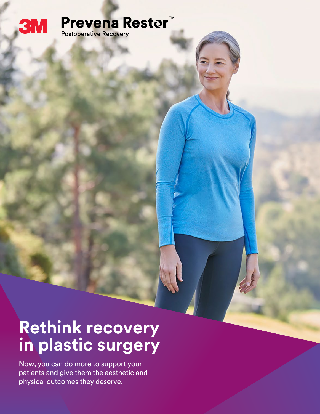

# **Prevena Restor<sup>™</sup>**<br>Postoperative Recovery

**Rethink recovery in plastic surgery**

Now, you can do more to support your patients and give them the aesthetic and physical outcomes they deserve.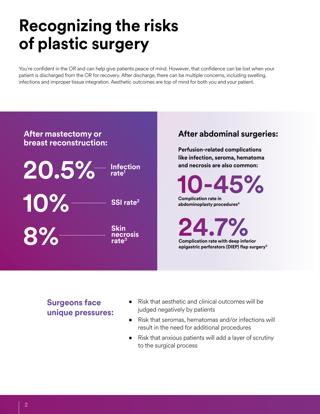## **Recognizing the risks of plastic surgery**

You're confident in the OR and can help give patients peace of mind. However, that confidence can be lost when your patient is discharged from the OR for recovery. After discharge, there can be multiple concerns, including swelling, infections and improper tissue integration. Aesthetic outcomes are top of mind for both you and your patient.



### **After abdominal surgeries:**

**Perfusion-related complications like infection, seroma, hematoma and necrosis are also common:**

**10-45%**

**Complication rate in abdominoplasty procedures4**

**24.7% Complication rate with deep inferior epigastric perforators (DIEP) flap surgery5**

### **Surgeons face unique pressures:**

- Risk that aesthetic and clinical outcomes will be judged negatively by patients
- Risk that seromas, hematomas and/or infections will result in the need for additional procedures
- Risk that anxious patients will add a layer of scrutiny to the surgical process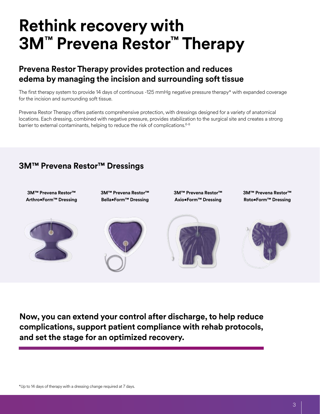## **Rethink recovery with 3M™ Prevena Restor™ Therapy**

### **Prevena Restor Therapy provides protection and reduces edema by managing the incision and surrounding soft tissue**

The first therapy system to provide 14 days of continuous -125 mmHg negative pressure therapy\* with expanded coverage for the incision and surrounding soft tissue.

Prevena Restor Therapy offers patients comprehensive protection, with dressings designed for a variety of anatomical locations. Each dressing, combined with negative pressure, provides stabilization to the surgical site and creates a strong barrier to external contaminants, helping to reduce the risk of complications.<sup>6-8</sup>

### **3M™ Prevena Restor™ Dressings**



**Now, you can extend your control after discharge, to help reduce complications, support patient compliance with rehab protocols, and set the stage for an optimized recovery.**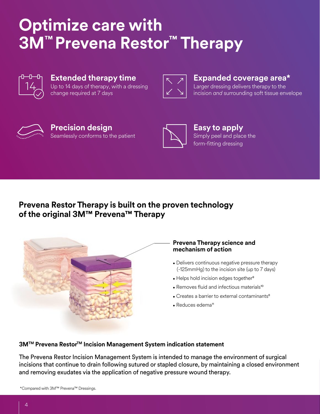## **Optimize care with 3M™ Prevena Restor™ Therapy**



#### **Extended therapy time** Up to 14 days of therapy, with a dressing change required at 7 days



#### **Expanded coverage area\***

Larger dressing delivers therapy to the incision *and* surrounding soft tissue envelope



#### **Precision design** Seamlessly conforms to the patient



**Easy to apply** Simply peel and place the form-fitting dressing

### **Prevena Restor Therapy is built on the proven technology of the original 3M™ Prevena™ Therapy**



#### **Prevena Therapy science and mechanism of action**

- Delivers continuous negative pressure therapy (-125mmHg) to the incision site (up to 7 days)
- Helps hold incision edges together<sup>9</sup>
- Removes fluid and infectious materials<sup>10</sup>
- Creates a barrier to external contaminants<sup>6</sup>
- $\bullet$  Reduces edema<sup>11</sup>

#### **3M™ Prevena Restor™ Incision Management System indication statement**

The Prevena Restor Incision Management System is intended to manage the environment of surgical incisions that continue to drain following sutured or stapled closure, by maintaining a closed environment and removing exudates via the application of negative pressure wound therapy.

\*Compared with 3M™ Prevena™ Dressings.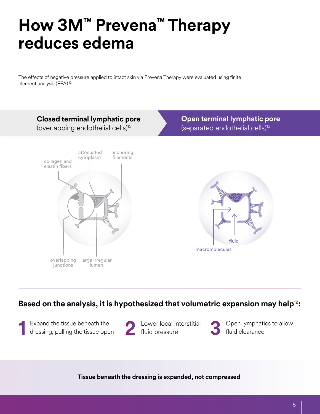## **How 3M™ Prevena™ Therapy reduces edema**

The effects of negative pressure applied to intact skin via Prevena Therapy were evaluated using finite element analysis (FEA).12



### **Based on the analysis, it is hypothesized that volumetric expansion may help**12**:**

Expand the tissue beneath the dressing, pulling the tissue open



Lower local interstitial fluid pressure

Open lymphatics to allow fluid clearance

**Tissue beneath the dressing is expanded, not compressed**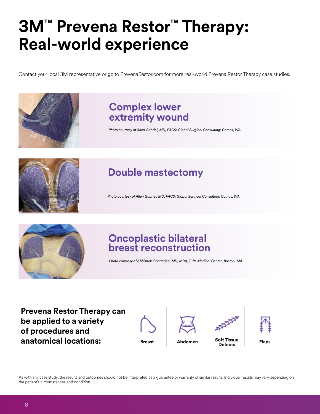## **3M™ Prevena Restor™ Therapy: Real-world experience**

Contact your local 3M representative or go to PrevenaRestor.com for more real-world Prevena Restor Therapy case studies.



## **Complex lower extremity wound**

*Photo courtesy of Allen Gabriel, MD, FACS; Global Surgical Consulting; Camas, WA.*



## **Double mastectomy**

*Photo courtesy of Allen Gabriel, MD, FACS; Global Surgical Consulting; Camas, WA.*



## **Oncoplastic bilateral breast reconstruction**

*Photo courtesy of Abhishek Chatterjee, MD, MBA, Tufts Medical Center, Boston, MA.*

**Prevena Restor Therapy can be applied to a variety of procedures and anatomical locations: Breast Abdomen Soft Tissue** 









As with any case study, the results and outcomes should not be interpreted as a guarantee or warranty of similar results. Individual results may vary depending on the patient's circumstances and condition.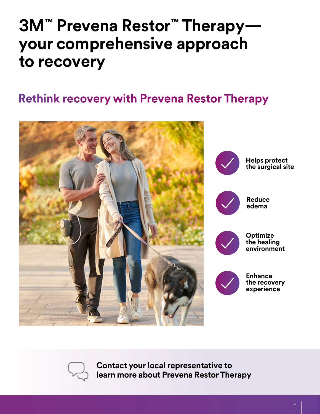## **3M™ Prevena Restor™ Therapy your comprehensive approach to recovery**

## **Rethink recovery with Prevena Restor Therapy**





**Contact your local representative to learn more about Prevena Restor Therapy**